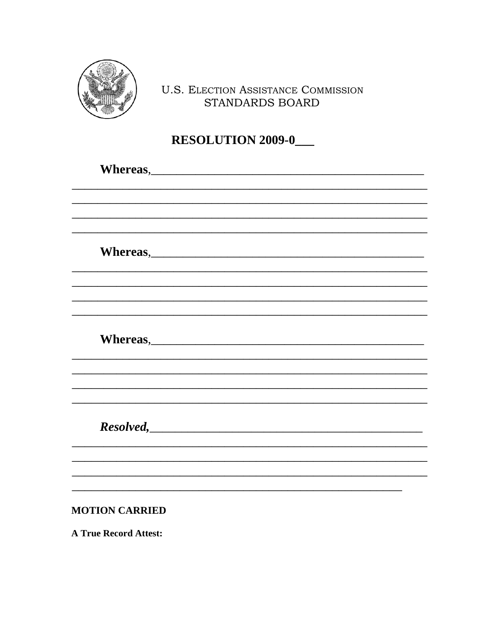

### **U.S. ELECTION ASSISTANCE COMMISSION** STANDARDS BOARD

# RESOLUTION 2009-0\_

| Whereas, |  |  |  |
|----------|--|--|--|
|          |  |  |  |
|          |  |  |  |
|          |  |  |  |
|          |  |  |  |
| Whereas, |  |  |  |
|          |  |  |  |
|          |  |  |  |
|          |  |  |  |
|          |  |  |  |
|          |  |  |  |
|          |  |  |  |
|          |  |  |  |
|          |  |  |  |
|          |  |  |  |
|          |  |  |  |

**MOTION CARRIED** 

**A True Record Attest:**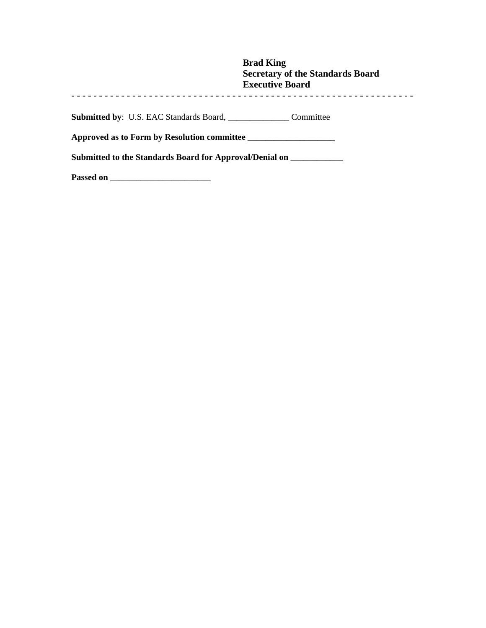|                                                                                   | <b>Brad King</b><br><b>Secretary of the Standards Board</b><br><b>Executive Board</b> |  |
|-----------------------------------------------------------------------------------|---------------------------------------------------------------------------------------|--|
| <b>Submitted by:</b> U.S. EAC Standards Board, Committee                          |                                                                                       |  |
| Approved as to Form by Resolution committee                                       |                                                                                       |  |
| Submitted to the Standards Board for Approval/Denial on _________________________ |                                                                                       |  |
| Passed on                                                                         |                                                                                       |  |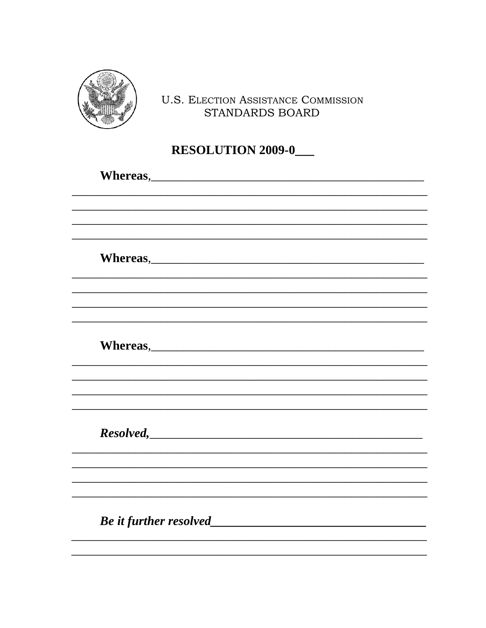

## **U.S. ELECTION ASSISTANCE COMMISSION** STANDARDS BOARD

## **RESOLUTION 2009-0\_**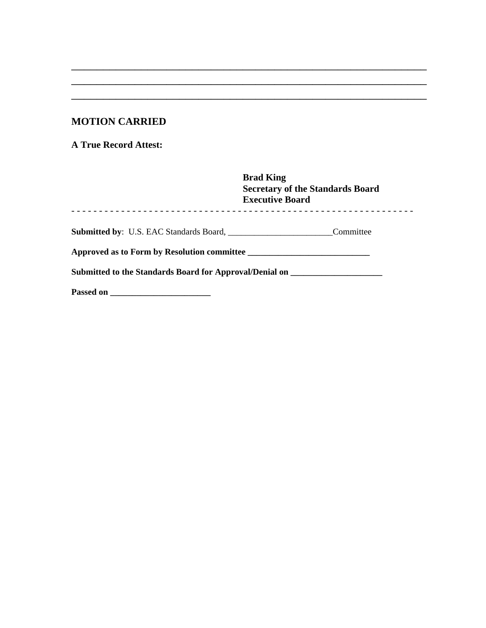#### **MOTION CARRIED**

**A True Record Attest:** 

|                                                                                                | <b>Brad King</b><br><b>Secretary of the Standards Board</b><br><b>Executive Board</b> |
|------------------------------------------------------------------------------------------------|---------------------------------------------------------------------------------------|
| <b>Submitted by:</b> U.S. EAC Standards Board, <u>Cambridge Board, Cambridge Board</u> , 2004. | Committee                                                                             |
| Approved as to Form by Resolution committee                                                    |                                                                                       |
| Submitted to the Standards Board for Approval/Denial on ________________________               |                                                                                       |
| Passed on                                                                                      |                                                                                       |

\_\_\_\_\_\_\_\_\_\_\_\_\_\_\_\_\_\_\_\_\_\_\_\_\_\_\_\_\_\_\_\_\_\_\_\_\_\_\_\_\_\_\_\_\_\_\_\_\_\_\_\_\_\_\_\_ \_\_\_\_\_\_\_\_\_\_\_\_\_\_\_\_\_\_\_\_\_\_\_\_\_\_\_\_\_\_\_\_\_\_\_\_\_\_\_\_\_\_\_\_\_\_\_\_\_\_\_\_\_\_\_\_ \_\_\_\_\_\_\_\_\_\_\_\_\_\_\_\_\_\_\_\_\_\_\_\_\_\_\_\_\_\_\_\_\_\_\_\_\_\_\_\_\_\_\_\_\_\_\_\_\_\_\_\_\_\_\_\_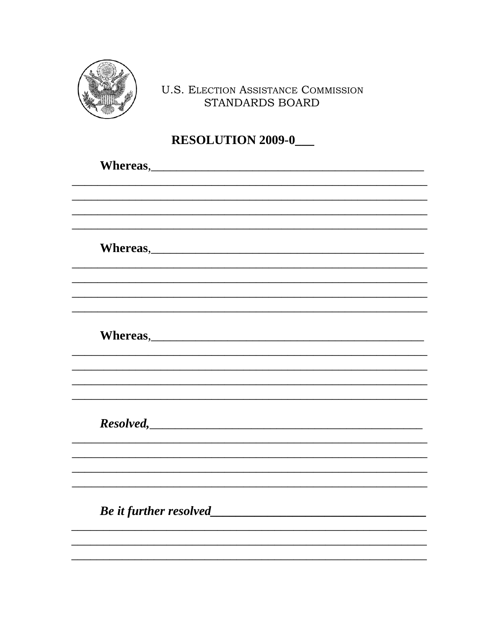

## **U.S. ELECTION ASSISTANCE COMMISSION** STANDARDS BOARD

# **RESOLUTION 2009-0\_**